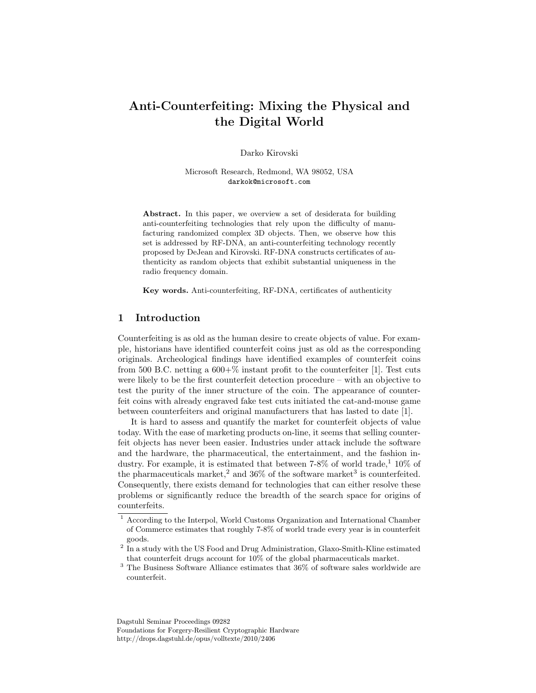# Anti-Counterfeiting: Mixing the Physical and the Digital World

Darko Kirovski

Microsoft Research, Redmond, WA 98052, USA darkok@microsoft.com

Abstract. In this paper, we overview a set of desiderata for building anti-counterfeiting technologies that rely upon the difficulty of manufacturing randomized complex 3D objects. Then, we observe how this set is addressed by RF-DNA, an anti-counterfeiting technology recently proposed by DeJean and Kirovski. RF-DNA constructs certificates of authenticity as random objects that exhibit substantial uniqueness in the radio frequency domain.

Key words. Anti-counterfeiting, RF-DNA, certificates of authenticity

## 1 Introduction

Counterfeiting is as old as the human desire to create objects of value. For example, historians have identified counterfeit coins just as old as the corresponding originals. Archeological findings have identified examples of counterfeit coins from 500 B.C. netting a  $600+\%$  instant profit to the counterfeiter [1]. Test cuts were likely to be the first counterfeit detection procedure – with an objective to test the purity of the inner structure of the coin. The appearance of counterfeit coins with already engraved fake test cuts initiated the cat-and-mouse game between counterfeiters and original manufacturers that has lasted to date [1].

It is hard to assess and quantify the market for counterfeit objects of value today. With the ease of marketing products on-line, it seems that selling counterfeit objects has never been easier. Industries under attack include the software and the hardware, the pharmaceutical, the entertainment, and the fashion industry. For example, it is estimated that between  $7-8\%$  of world trade,  $110\%$  of the pharmaceuticals market,<sup>2</sup> and 36% of the software market<sup>3</sup> is counterfeited. Consequently, there exists demand for technologies that can either resolve these problems or significantly reduce the breadth of the search space for origins of counterfeits.

<sup>1</sup> According to the Interpol, World Customs Organization and International Chamber of Commerce estimates that roughly 7-8% of world trade every year is in counterfeit goods.

<sup>&</sup>lt;sup>2</sup> In a study with the US Food and Drug Administration, Glaxo-Smith-Kline estimated that counterfeit drugs account for 10% of the global pharmaceuticals market.

<sup>&</sup>lt;sup>3</sup> The Business Software Alliance estimates that 36% of software sales worldwide are counterfeit.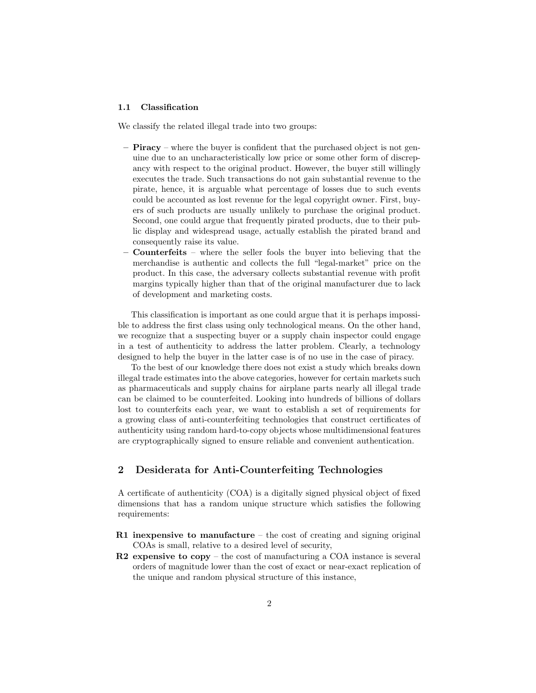#### 1.1 Classification

We classify the related illegal trade into two groups:

- $-$  **Piracy** where the buyer is confident that the purchased object is not genuine due to an uncharacteristically low price or some other form of discrepancy with respect to the original product. However, the buyer still willingly executes the trade. Such transactions do not gain substantial revenue to the pirate, hence, it is arguable what percentage of losses due to such events could be accounted as lost revenue for the legal copyright owner. First, buyers of such products are usually unlikely to purchase the original product. Second, one could argue that frequently pirated products, due to their public display and widespread usage, actually establish the pirated brand and consequently raise its value.
- Counterfeits where the seller fools the buyer into believing that the merchandise is authentic and collects the full "legal-market" price on the product. In this case, the adversary collects substantial revenue with profit margins typically higher than that of the original manufacturer due to lack of development and marketing costs.

This classification is important as one could argue that it is perhaps impossible to address the first class using only technological means. On the other hand, we recognize that a suspecting buyer or a supply chain inspector could engage in a test of authenticity to address the latter problem. Clearly, a technology designed to help the buyer in the latter case is of no use in the case of piracy.

To the best of our knowledge there does not exist a study which breaks down illegal trade estimates into the above categories, however for certain markets such as pharmaceuticals and supply chains for airplane parts nearly all illegal trade can be claimed to be counterfeited. Looking into hundreds of billions of dollars lost to counterfeits each year, we want to establish a set of requirements for a growing class of anti-counterfeiting technologies that construct certificates of authenticity using random hard-to-copy objects whose multidimensional features are cryptographically signed to ensure reliable and convenient authentication.

## 2 Desiderata for Anti-Counterfeiting Technologies

A certificate of authenticity (COA) is a digitally signed physical object of fixed dimensions that has a random unique structure which satisfies the following requirements:

- **R1 inexpensive to manufacture** the cost of creating and signing original COAs is small, relative to a desired level of security,
- **R2** expensive to copy the cost of manufacturing a COA instance is several orders of magnitude lower than the cost of exact or near-exact replication of the unique and random physical structure of this instance,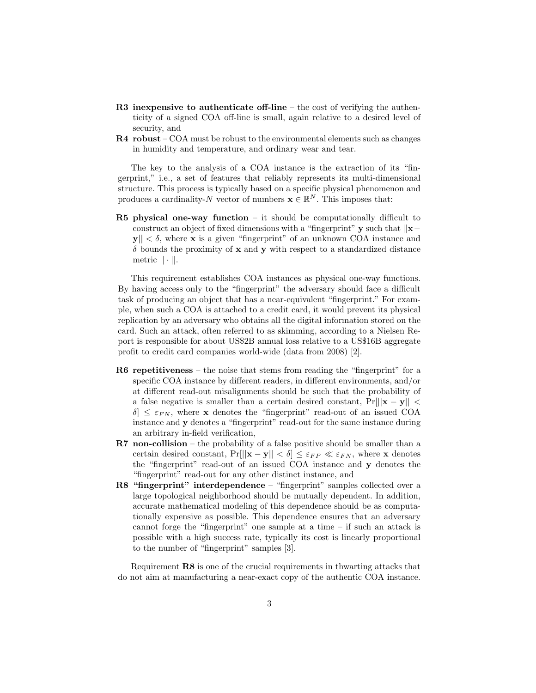- **R3** inexpensive to authenticate off-line the cost of verifying the authenticity of a signed COA off-line is small, again relative to a desired level of security, and
- **robust COA must be robust to the environmental elements such as changes** in humidity and temperature, and ordinary wear and tear.

The key to the analysis of a COA instance is the extraction of its "fingerprint," i.e., a set of features that reliably represents its multi-dimensional structure. This process is typically based on a specific physical phenomenon and produces a cardinality-N vector of numbers  $\mathbf{x} \in \mathbb{R}^N$ . This imposes that:

 $R5$  physical one-way function – it should be computationally difficult to construct an object of fixed dimensions with a "fingerprint" y such that  $||\mathbf{x} ||\mathbf{y}|| < \delta$ , where x is a given "fingerprint" of an unknown COA instance and  $\delta$  bounds the proximity of **x** and **y** with respect to a standardized distance metric  $|| \cdot ||$ .

This requirement establishes COA instances as physical one-way functions. By having access only to the "fingerprint" the adversary should face a difficult task of producing an object that has a near-equivalent "fingerprint." For example, when such a COA is attached to a credit card, it would prevent its physical replication by an adversary who obtains all the digital information stored on the card. Such an attack, often referred to as skimming, according to a Nielsen Report is responsible for about US\$2B annual loss relative to a US\$16B aggregate profit to credit card companies world-wide (data from 2008) [2].

- R6 repetitiveness the noise that stems from reading the "fingerprint" for a specific COA instance by different readers, in different environments, and/or at different read-out misalignments should be such that the probability of a false negative is smaller than a certain desired constant,  $Pr[||x - y|| <$  $|\delta| \leq \varepsilon_{FN}$ , where **x** denotes the "fingerprint" read-out of an issued COA instance and y denotes a "fingerprint" read-out for the same instance during an arbitrary in-field verification,
- $R7$  non-collision the probability of a false positive should be smaller than a certain desired constant,  $Pr[||\mathbf{x} - \mathbf{y}|| < \delta] \leq \varepsilon_{FP} \ll \varepsilon_{FN}$ , where x denotes the "fingerprint" read-out of an issued COA instance and y denotes the "fingerprint" read-out for any other distinct instance, and
- R8 "fingerprint" interdependence "fingerprint" samples collected over a large topological neighborhood should be mutually dependent. In addition, accurate mathematical modeling of this dependence should be as computationally expensive as possible. This dependence ensures that an adversary cannot forge the "fingerprint" one sample at a time – if such an attack is possible with a high success rate, typically its cost is linearly proportional to the number of "fingerprint" samples [3].

Requirement R8 is one of the crucial requirements in thwarting attacks that do not aim at manufacturing a near-exact copy of the authentic COA instance.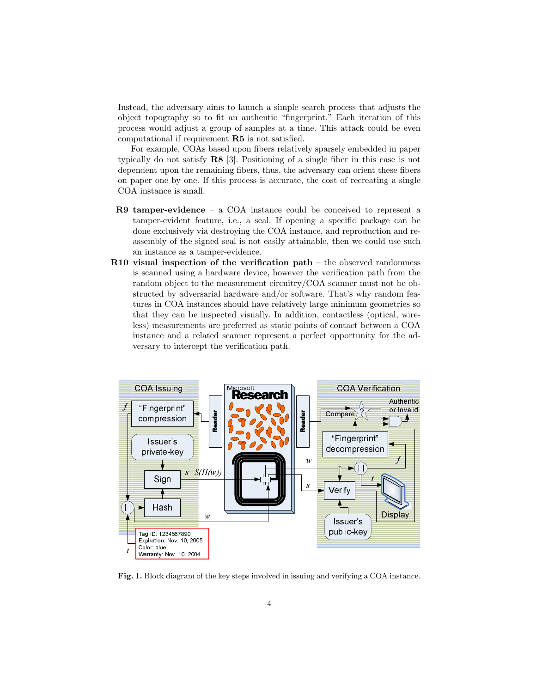Instead, the adversary aims to launch a simple search process that adjusts the object topography so to fit an authentic "fingerprint." Each iteration of this process would adjust a group of samples at a time. This attack could be even computational if requirement R5 is not satisfied.

For example, COAs based upon fibers relatively sparsely embedded in paper typically do not satisfy R8 [3]. Positioning of a single fiber in this case is not dependent upon the remaining fibers, thus, the adversary can orient these fibers on paper one by one. If this process is accurate, the cost of recreating a single COA instance is small.

- $R9$  tamper-evidence a COA instance could be conceived to represent a tamper-evident feature, i.e., a seal. If opening a specific package can be done exclusively via destroying the COA instance, and reproduction and reassembly of the signed seal is not easily attainable, then we could use such an instance as a tamper-evidence.
- R10 visual inspection of the verification path  $-$  the observed randomness is scanned using a hardware device, however the verification path from the random object to the measurement circuitry/COA scanner must not be obstructed by adversarial hardware and/or software. That's why random features in COA instances should have relatively large minimum geometries so that they can be inspected visually. In addition, contactless (optical, wireless) measurements are preferred as static points of contact between a COA instance and a related scanner represent a perfect opportunity for the adversary to intercept the verification path.



Fig. 1. Block diagram of the key steps involved in issuing and verifying a COA instance.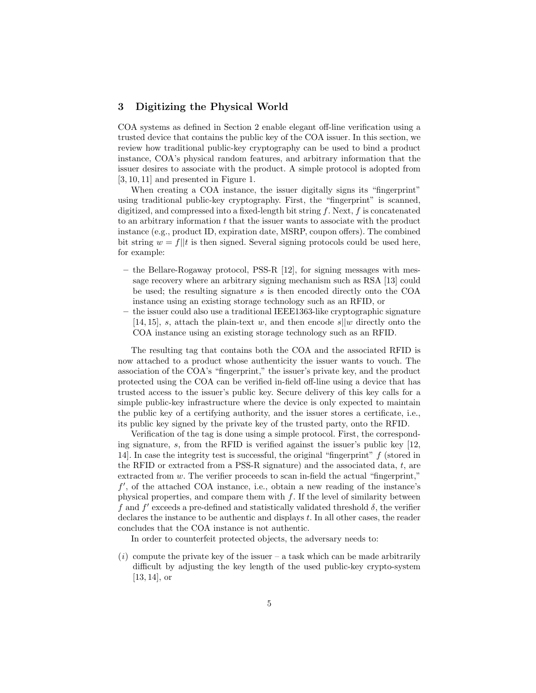## 3 Digitizing the Physical World

COA systems as defined in Section 2 enable elegant off-line verification using a trusted device that contains the public key of the COA issuer. In this section, we review how traditional public-key cryptography can be used to bind a product instance, COA's physical random features, and arbitrary information that the issuer desires to associate with the product. A simple protocol is adopted from [3, 10, 11] and presented in Figure 1.

When creating a COA instance, the issuer digitally signs its "fingerprint" using traditional public-key cryptography. First, the "fingerprint" is scanned, digitized, and compressed into a fixed-length bit string  $f$ . Next,  $f$  is concatenated to an arbitrary information  $t$  that the issuer wants to associate with the product instance (e.g., product ID, expiration date, MSRP, coupon offers). The combined bit string  $w = f||t$  is then signed. Several signing protocols could be used here, for example:

- the Bellare-Rogaway protocol, PSS-R [12], for signing messages with message recovery where an arbitrary signing mechanism such as RSA [13] could be used; the resulting signature s is then encoded directly onto the COA instance using an existing storage technology such as an RFID, or
- the issuer could also use a traditional IEEE1363-like cryptographic signature [14, 15], s, attach the plain-text w, and then encode  $s||w$  directly onto the COA instance using an existing storage technology such as an RFID.

The resulting tag that contains both the COA and the associated RFID is now attached to a product whose authenticity the issuer wants to vouch. The association of the COA's "fingerprint," the issuer's private key, and the product protected using the COA can be verified in-field off-line using a device that has trusted access to the issuer's public key. Secure delivery of this key calls for a simple public-key infrastructure where the device is only expected to maintain the public key of a certifying authority, and the issuer stores a certificate, i.e., its public key signed by the private key of the trusted party, onto the RFID.

Verification of the tag is done using a simple protocol. First, the corresponding signature, s, from the RFID is verified against the issuer's public key  $[12]$ , 14]. In case the integrity test is successful, the original "fingerprint" f (stored in the RFID or extracted from a PSS-R signature) and the associated data,  $t$ , are extracted from w. The verifier proceeds to scan in-field the actual "fingerprint," f', of the attached COA instance, i.e., obtain a new reading of the instance's physical properties, and compare them with  $f$ . If the level of similarity between f and  $f'$  exceeds a pre-defined and statistically validated threshold  $\delta$ , the verifier declares the instance to be authentic and displays t. In all other cases, the reader concludes that the COA instance is not authentic.

In order to counterfeit protected objects, the adversary needs to:

 $(i)$  compute the private key of the issuer – a task which can be made arbitrarily difficult by adjusting the key length of the used public-key crypto-system [13, 14], or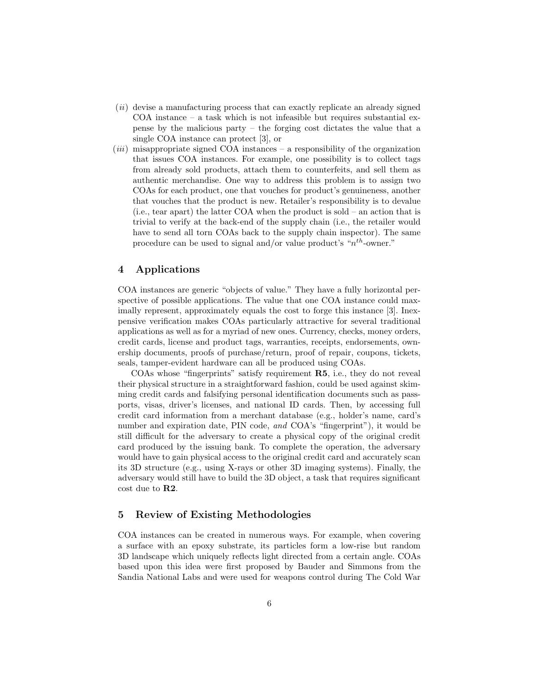- (ii) devise a manufacturing process that can exactly replicate an already signed COA instance  $-$  a task which is not infeasible but requires substantial expense by the malicious party – the forging cost dictates the value that a single COA instance can protect [3], or
- $(iii)$  misappropriate signed COA instances a responsibility of the organization that issues COA instances. For example, one possibility is to collect tags from already sold products, attach them to counterfeits, and sell them as authentic merchandise. One way to address this problem is to assign two COAs for each product, one that vouches for product's genuineness, another that vouches that the product is new. Retailer's responsibility is to devalue (i.e., tear apart) the latter COA when the product is sold – an action that is trivial to verify at the back-end of the supply chain (i.e., the retailer would have to send all torn COAs back to the supply chain inspector). The same procedure can be used to signal and/or value product's " $n^{th}$ -owner."

# 4 Applications

COA instances are generic "objects of value." They have a fully horizontal perspective of possible applications. The value that one COA instance could maximally represent, approximately equals the cost to forge this instance [3]. Inexpensive verification makes COAs particularly attractive for several traditional applications as well as for a myriad of new ones. Currency, checks, money orders, credit cards, license and product tags, warranties, receipts, endorsements, ownership documents, proofs of purchase/return, proof of repair, coupons, tickets, seals, tamper-evident hardware can all be produced using COAs.

COAs whose "fingerprints" satisfy requirement R5, i.e., they do not reveal their physical structure in a straightforward fashion, could be used against skimming credit cards and falsifying personal identification documents such as passports, visas, driver's licenses, and national ID cards. Then, by accessing full credit card information from a merchant database (e.g., holder's name, card's number and expiration date, PIN code, and COA's "fingerprint"), it would be still difficult for the adversary to create a physical copy of the original credit card produced by the issuing bank. To complete the operation, the adversary would have to gain physical access to the original credit card and accurately scan its 3D structure (e.g., using X-rays or other 3D imaging systems). Finally, the adversary would still have to build the 3D object, a task that requires significant cost due to R2.

## 5 Review of Existing Methodologies

COA instances can be created in numerous ways. For example, when covering a surface with an epoxy substrate, its particles form a low-rise but random 3D landscape which uniquely reflects light directed from a certain angle. COAs based upon this idea were first proposed by Bauder and Simmons from the Sandia National Labs and were used for weapons control during The Cold War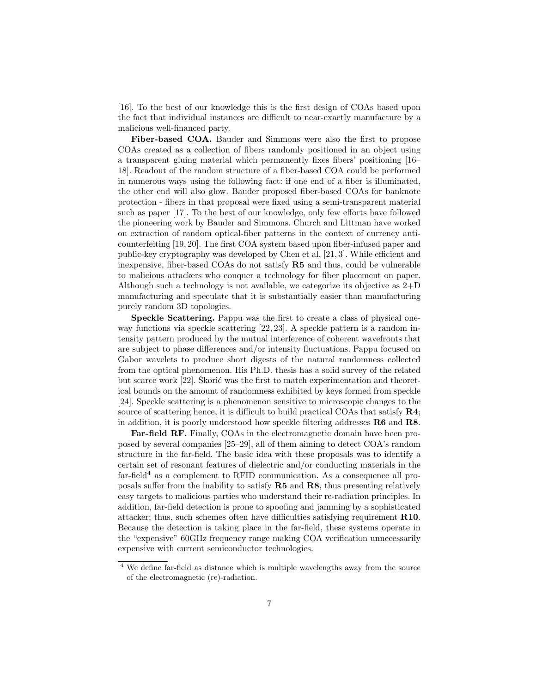[16]. To the best of our knowledge this is the first design of COAs based upon the fact that individual instances are difficult to near-exactly manufacture by a malicious well-financed party.

Fiber-based COA. Bauder and Simmons were also the first to propose COAs created as a collection of fibers randomly positioned in an object using a transparent gluing material which permanently fixes fibers' positioning [16– 18]. Readout of the random structure of a fiber-based COA could be performed in numerous ways using the following fact: if one end of a fiber is illuminated, the other end will also glow. Bauder proposed fiber-based COAs for banknote protection - fibers in that proposal were fixed using a semi-transparent material such as paper [17]. To the best of our knowledge, only few efforts have followed the pioneering work by Bauder and Simmons. Church and Littman have worked on extraction of random optical-fiber patterns in the context of currency anticounterfeiting [19, 20]. The first COA system based upon fiber-infused paper and public-key cryptography was developed by Chen et al. [21, 3]. While efficient and inexpensive, fiber-based COAs do not satisfy R5 and thus, could be vulnerable to malicious attackers who conquer a technology for fiber placement on paper. Although such a technology is not available, we categorize its objective as  $2+D$ manufacturing and speculate that it is substantially easier than manufacturing purely random 3D topologies.

Speckle Scattering. Pappu was the first to create a class of physical oneway functions via speckle scattering [22, 23]. A speckle pattern is a random intensity pattern produced by the mutual interference of coherent wavefronts that are subject to phase differences and/or intensity fluctuations. Pappu focused on Gabor wavelets to produce short digests of the natural randomness collected from the optical phenomenon. His Ph.D. thesis has a solid survey of the related but scarce work  $[22]$ . Skorić was the first to match experimentation and theoretical bounds on the amount of randomness exhibited by keys formed from speckle [24]. Speckle scattering is a phenomenon sensitive to microscopic changes to the source of scattering hence, it is difficult to build practical COAs that satisfy R4; in addition, it is poorly understood how speckle filtering addresses R6 and R8.

Far-field RF. Finally, COAs in the electromagnetic domain have been proposed by several companies [25–29], all of them aiming to detect COA's random structure in the far-field. The basic idea with these proposals was to identify a certain set of resonant features of dielectric and/or conducting materials in the  $far-field<sup>4</sup>$  as a complement to RFID communication. As a consequence all proposals suffer from the inability to satisfy R5 and R8, thus presenting relatively easy targets to malicious parties who understand their re-radiation principles. In addition, far-field detection is prone to spoofing and jamming by a sophisticated attacker; thus, such schemes often have difficulties satisfying requirement R10. Because the detection is taking place in the far-field, these systems operate in the "expensive" 60GHz frequency range making COA verification unnecessarily expensive with current semiconductor technologies.

<sup>4</sup> We define far-field as distance which is multiple wavelengths away from the source of the electromagnetic (re)-radiation.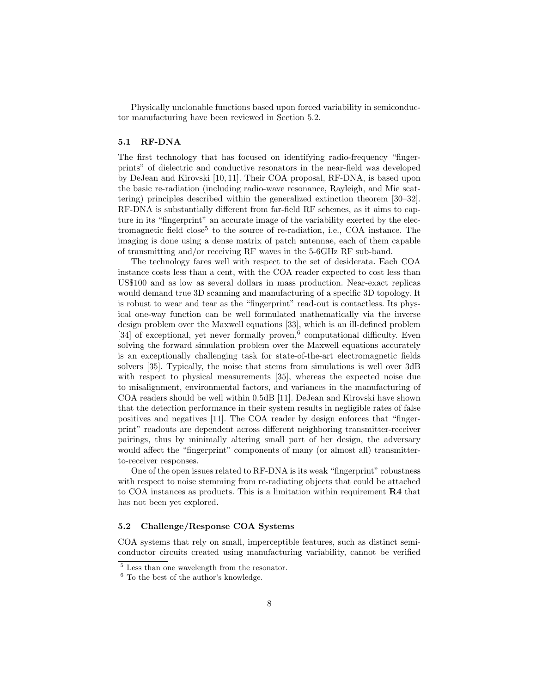Physically unclonable functions based upon forced variability in semiconductor manufacturing have been reviewed in Section 5.2.

#### 5.1 RF-DNA

The first technology that has focused on identifying radio-frequency "fingerprints" of dielectric and conductive resonators in the near-field was developed by DeJean and Kirovski [10, 11]. Their COA proposal, RF-DNA, is based upon the basic re-radiation (including radio-wave resonance, Rayleigh, and Mie scattering) principles described within the generalized extinction theorem [30–32]. RF-DNA is substantially different from far-field RF schemes, as it aims to capture in its "fingerprint" an accurate image of the variability exerted by the electromagnetic field close<sup>5</sup> to the source of re-radiation, i.e., COA instance. The imaging is done using a dense matrix of patch antennae, each of them capable of transmitting and/or receiving RF waves in the 5-6GHz RF sub-band.

The technology fares well with respect to the set of desiderata. Each COA instance costs less than a cent, with the COA reader expected to cost less than US\$100 and as low as several dollars in mass production. Near-exact replicas would demand true 3D scanning and manufacturing of a specific 3D topology. It is robust to wear and tear as the "fingerprint" read-out is contactless. Its physical one-way function can be well formulated mathematically via the inverse design problem over the Maxwell equations [33], which is an ill-defined problem [34] of exceptional, yet never formally proven, $6$  computational difficulty. Even solving the forward simulation problem over the Maxwell equations accurately is an exceptionally challenging task for state-of-the-art electromagnetic fields solvers [35]. Typically, the noise that stems from simulations is well over 3dB with respect to physical measurements [35], whereas the expected noise due to misalignment, environmental factors, and variances in the manufacturing of COA readers should be well within 0.5dB [11]. DeJean and Kirovski have shown that the detection performance in their system results in negligible rates of false positives and negatives [11]. The COA reader by design enforces that "fingerprint" readouts are dependent across different neighboring transmitter-receiver pairings, thus by minimally altering small part of her design, the adversary would affect the "fingerprint" components of many (or almost all) transmitterto-receiver responses.

One of the open issues related to RF-DNA is its weak "fingerprint" robustness with respect to noise stemming from re-radiating objects that could be attached to COA instances as products. This is a limitation within requirement R4 that has not been yet explored.

### 5.2 Challenge/Response COA Systems

COA systems that rely on small, imperceptible features, such as distinct semiconductor circuits created using manufacturing variability, cannot be verified

<sup>&</sup>lt;sup>5</sup> Less than one wavelength from the resonator.

<sup>6</sup> To the best of the author's knowledge.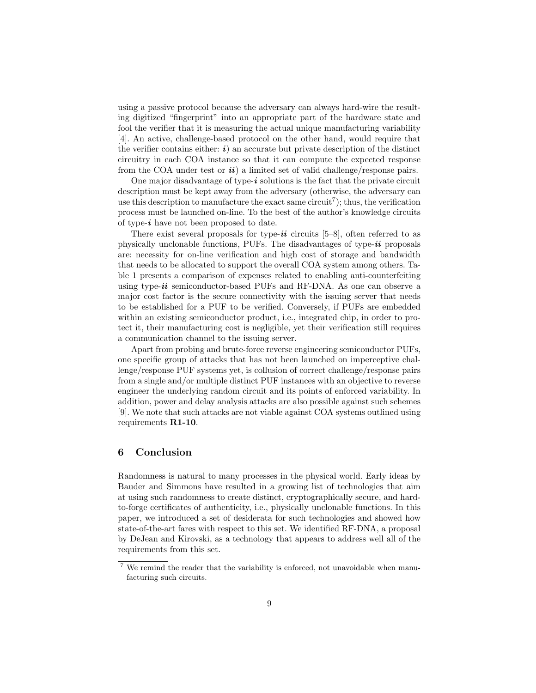using a passive protocol because the adversary can always hard-wire the resulting digitized "fingerprint" into an appropriate part of the hardware state and fool the verifier that it is measuring the actual unique manufacturing variability [4]. An active, challenge-based protocol on the other hand, would require that the verifier contains either:  $\boldsymbol{i}$ ) an accurate but private description of the distinct circuitry in each COA instance so that it can compute the expected response from the COA under test or  $ii$ ) a limited set of valid challenge/response pairs.

One major disadvantage of type- $i$  solutions is the fact that the private circuit description must be kept away from the adversary (otherwise, the adversary can use this description to manufacture the exact same circuit<sup>7</sup>); thus, the verification process must be launched on-line. To the best of the author's knowledge circuits of type- $i$  have not been proposed to date.

There exist several proposals for type- $\boldsymbol{i}$  circuits [5–8], often referred to as physically unclonable functions, PUFs. The disadvantages of type- $ii$  proposals are: necessity for on-line verification and high cost of storage and bandwidth that needs to be allocated to support the overall COA system among others. Table 1 presents a comparison of expenses related to enabling anti-counterfeiting using type- $ii$  semiconductor-based PUFs and RF-DNA. As one can observe a major cost factor is the secure connectivity with the issuing server that needs to be established for a PUF to be verified. Conversely, if PUFs are embedded within an existing semiconductor product, i.e., integrated chip, in order to protect it, their manufacturing cost is negligible, yet their verification still requires a communication channel to the issuing server.

Apart from probing and brute-force reverse engineering semiconductor PUFs, one specific group of attacks that has not been launched on imperceptive challenge/response PUF systems yet, is collusion of correct challenge/response pairs from a single and/or multiple distinct PUF instances with an objective to reverse engineer the underlying random circuit and its points of enforced variability. In addition, power and delay analysis attacks are also possible against such schemes [9]. We note that such attacks are not viable against COA systems outlined using requirements R1-10.

# 6 Conclusion

Randomness is natural to many processes in the physical world. Early ideas by Bauder and Simmons have resulted in a growing list of technologies that aim at using such randomness to create distinct, cryptographically secure, and hardto-forge certificates of authenticity, i.e., physically unclonable functions. In this paper, we introduced a set of desiderata for such technologies and showed how state-of-the-art fares with respect to this set. We identified RF-DNA, a proposal by DeJean and Kirovski, as a technology that appears to address well all of the requirements from this set.

<sup>7</sup> We remind the reader that the variability is enforced, not unavoidable when manufacturing such circuits.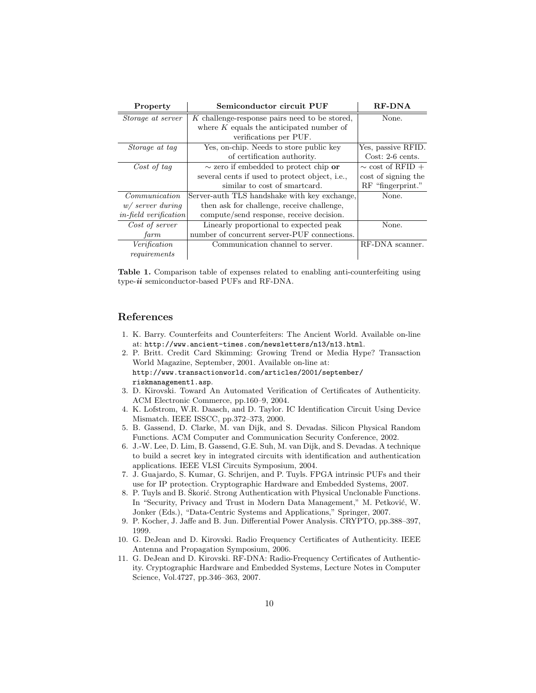| Property                     | Semiconductor circuit PUF                      | <b>RF-DNA</b>         |
|------------------------------|------------------------------------------------|-----------------------|
| <i>Storage at server</i>     | K challenge-response pairs need to be stored,  | None.                 |
|                              | where $K$ equals the anticipated number of     |                       |
|                              | verifications per PUF.                         |                       |
| Storage at tag               | Yes, on-chip. Needs to store public key        | Yes, passive RFID.    |
|                              | of certification authority.                    | $Cost: 2-6 cents.$    |
| Cost of tag                  | $\sim$ zero if embedded to protect chip or     | $\sim$ cost of RFID + |
|                              | several cents if used to protect object, i.e., | cost of signing the   |
|                              | similar to cost of smartcard.                  | RF "fingerprint."     |
| Communication                | Server-auth TLS handshake with key exchange,   | None.                 |
| $w/$ server during           | then ask for challenge, receive challenge,     |                       |
| <i>in-field verification</i> | compute/send response, receive decision.       |                       |
| Cost of server               | Linearly proportional to expected peak         | None.                 |
| farm                         | number of concurrent server-PUF connections.   |                       |
| Verification                 | Communication channel to server.               | RF-DNA scanner.       |
| requirements                 |                                                |                       |

Table 1. Comparison table of expenses related to enabling anti-counterfeiting using type-ii semiconductor-based PUFs and RF-DNA.

# References

- 1. K. Barry. Counterfeits and Counterfeiters: The Ancient World. Available on-line at: http://www.ancient-times.com/newsletters/n13/n13.html.
- 2. P. Britt. Credit Card Skimming: Growing Trend or Media Hype? Transaction World Magazine, September, 2001. Available on-line at: http://www.transactionworld.com/articles/2001/september/ riskmanagement1.asp.
- 3. D. Kirovski. Toward An Automated Verification of Certificates of Authenticity. ACM Electronic Commerce, pp.160–9, 2004.
- 4. K. Lofstrom, W.R. Daasch, and D. Taylor. IC Identification Circuit Using Device Mismatch. IEEE ISSCC, pp.372–373, 2000.
- 5. B. Gassend, D. Clarke, M. van Dijk, and S. Devadas. Silicon Physical Random Functions. ACM Computer and Communication Security Conference, 2002.
- 6. J.-W. Lee, D. Lim, B. Gassend, G.E. Suh, M. van Dijk, and S. Devadas. A technique to build a secret key in integrated circuits with identification and authentication applications. IEEE VLSI Circuits Symposium, 2004.
- 7. J. Guajardo, S. Kumar, G. Schrijen, and P. Tuyls. FPGA intrinsic PUFs and their use for IP protection. Cryptographic Hardware and Embedded Systems, 2007.
- 8. P. Tuyls and B. Škorić. Strong Authentication with Physical Unclonable Functions. In "Security, Privacy and Trust in Modern Data Management," M. Petković, W. Jonker (Eds.), "Data-Centric Systems and Applications," Springer, 2007.
- 9. P. Kocher, J. Jaffe and B. Jun. Differential Power Analysis. CRYPTO, pp.388–397, 1999.
- 10. G. DeJean and D. Kirovski. Radio Frequency Certificates of Authenticity. IEEE Antenna and Propagation Symposium, 2006.
- 11. G. DeJean and D. Kirovski. RF-DNA: Radio-Frequency Certificates of Authenticity. Cryptographic Hardware and Embedded Systems, Lecture Notes in Computer Science, Vol.4727, pp.346–363, 2007.